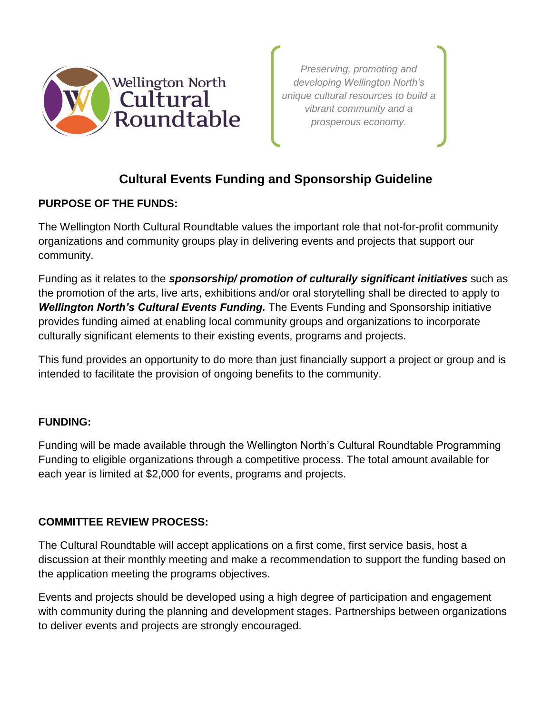

*Preserving, promoting and developing Wellington North's unique cultural resources to build a vibrant community and a prosperous economy.* 

# **Cultural Events Funding and Sponsorship Guideline**

## **PURPOSE OF THE FUNDS:**

The Wellington North Cultural Roundtable values the important role that not-for-profit community organizations and community groups play in delivering events and projects that support our community.

Funding as it relates to the *sponsorship/ promotion of culturally significant initiatives* such as the promotion of the arts, live arts, exhibitions and/or oral storytelling shall be directed to apply to *Wellington North's Cultural Events Funding.* The Events Funding and Sponsorship initiative provides funding aimed at enabling local community groups and organizations to incorporate culturally significant elements to their existing events, programs and projects.

This fund provides an opportunity to do more than just financially support a project or group and is intended to facilitate the provision of ongoing benefits to the community.

## **FUNDING:**

Funding will be made available through the Wellington North's Cultural Roundtable Programming Funding to eligible organizations through a competitive process. The total amount available for each year is limited at \$2,000 for events, programs and projects.

## **COMMITTEE REVIEW PROCESS:**

The Cultural Roundtable will accept applications on a first come, first service basis, host a discussion at their monthly meeting and make a recommendation to support the funding based on the application meeting the programs objectives.

Events and projects should be developed using a high degree of participation and engagement with community during the planning and development stages. Partnerships between organizations to deliver events and projects are strongly encouraged.